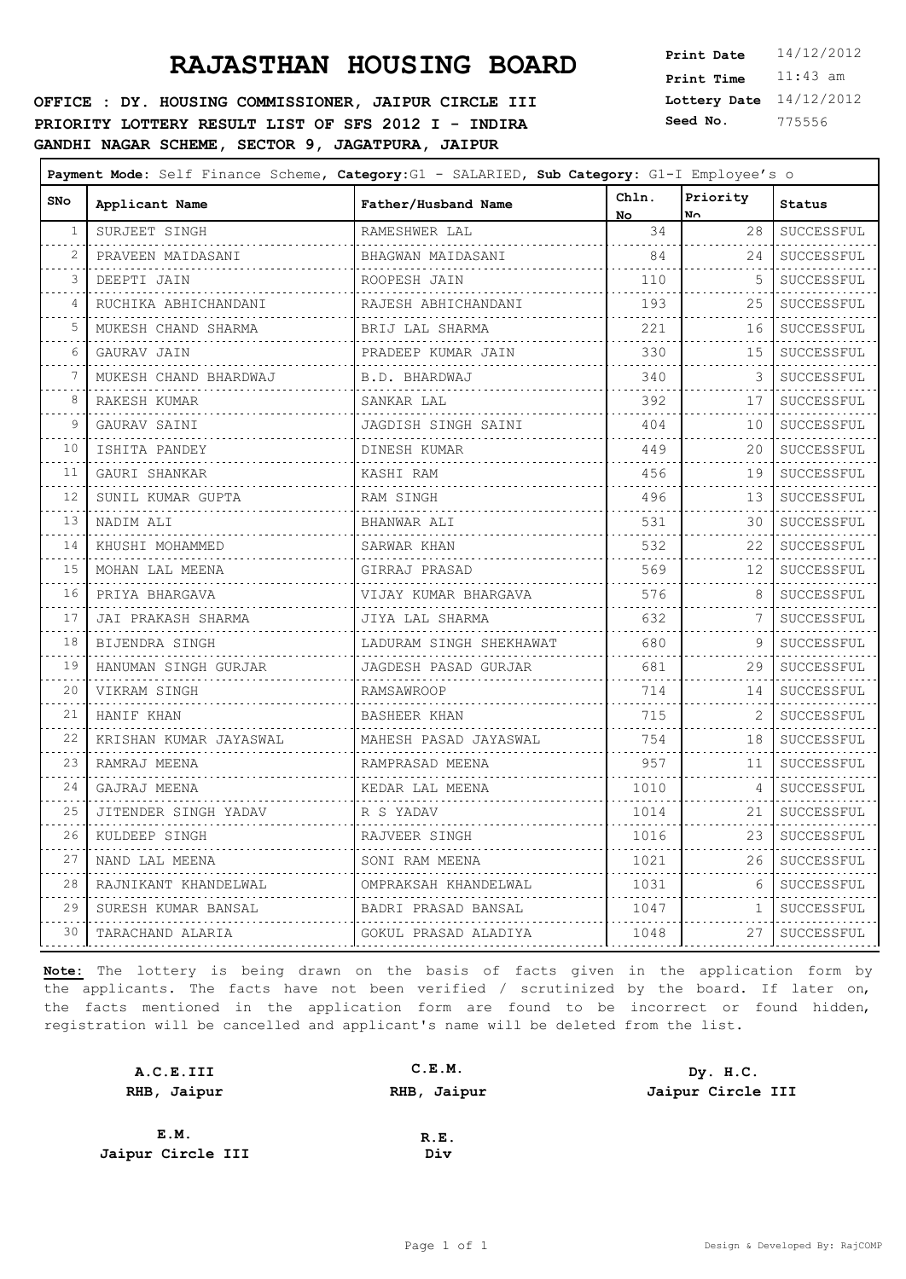**OFFICE : DY. HOUSING COMMISSIONER, JAIPUR CIRCLE III PRIORITY LOTTERY RESULT LIST OF SFS 2012 I - INDIRA GANDHI NAGAR SCHEME, SECTOR 9, JAGATPURA, JAIPUR**

**Lottery Date** 14/12/2012 **Print Time** 11:43 am **Seed No.** 775556

| SNo | Applicant Name         | Father/Husband Name      | Chln.<br>No.                  | Priority<br>No. | Status                     |
|-----|------------------------|--------------------------|-------------------------------|-----------------|----------------------------|
| 1   | SURJEET SINGH          | RAMESHWER LAL            | 34                            | 28              | SUCCESSFUL                 |
| 2   | PRAVEEN MAIDASANI      | BHAGWAN MAIDASANI        | 84                            | 24              | SUCCESSFUL<br>.            |
| 3   | DEEPTI JAIN            | ROOPESH JAIN             | 110                           | 5               | SUCCESSFUL                 |
| 4   | RUCHIKA ABHICHANDANI   | .<br>RAJESH ABHICHANDANI | 193                           | 25              | SUCCESSFUL                 |
| 5   | MUKESH CHAND SHARMA    | BRIJ LAL SHARMA          | .<br>221                      | 16              | SUCCESSFUL                 |
| 6   | GAURAV JAIN            | .<br>PRADEEP KUMAR JAIN  | 330                           | 15              | .<br>SUCCESSFUL            |
| 7   | MUKESH CHAND BHARDWAJ  | B.D. BHARDWAJ            | 340                           | 3               | SUCCESSFUL                 |
| 8   | RAKESH KUMAR           | .<br>SANKAR LAL          | 392                           | 17              | .<br>SUCCESSFUL            |
| 9   | .<br>GAURAV SAINI      | JAGDISH SINGH SAINI      | 404                           | 10              | . <u>.</u> .<br>SUCCESSFUL |
| 10  | ISHITA PANDEY          | DINESH KUMAR             | 449                           | 20              | SUCCESSFUL                 |
| 11  | GAURI SHANKAR          | KASHI RAM                | 456                           | 19              | .<br>SUCCESSFUL            |
| 12  | SUNIL KUMAR GUPTA      | .<br>RAM SINGH           | 496                           | 13              | . <b>.</b> .<br>SUCCESSFUL |
| 13  | NADIM ALI              | .<br>BHANWAR ALI         | .<br>531                      | 30              | .<br>SUCCESSFUL            |
| 14  | KHUSHI MOHAMMED        | .<br>SARWAR KHAN         | 532                           | 22              | . <b>.</b> .<br>SUCCESSFUL |
| 15  | MOHAN LAL MEENA        | .<br>GIRRAJ PRASAD       | 569                           | 12              | SUCCESSFUL                 |
| 16  | PRIYA BHARGAVA         | VIJAY KUMAR BHARGAVA     | 576                           | 8               | .<br>SUCCESSFUL            |
| 17  | JAI PRAKASH SHARMA     | JIYA LAL SHARMA          | 632                           | 7               | SUCCESSFUL                 |
| 18  | BIJENDRA SINGH         | LADURAM SINGH SHEKHAWAT  | .<br>680                      | 9               | SUCCESSFUL                 |
| 19  | HANUMAN SINGH GURJAR   | JAGDESH PASAD GURJAR     | .<br>681                      | 29              | .<br>SUCCESSFUL            |
| 20  | VIKRAM SINGH<br>.      | <b>RAMSAWROOP</b><br>.   | 714<br>$- - - - - - -$        | 14              | SUCCESSFUL<br>.            |
| 21  | HANIF KHAN             | BASHEER KHAN             | 715<br>the state of the state | 2               | SUCCESSFUL                 |
| 22  | KRISHAN KUMAR JAYASWAL | MAHESH PASAD JAYASWAL    | 754                           | 18              | SUCCESSFUL                 |
| 23  | RAMRAJ MEENA           | RAMPRASAD MEENA          | 957                           | 11              | SUCCESSFUL                 |
| 24  | GAJRAJ MEENA           | KEDAR LAL MEENA          | 1010                          | 4               | SUCCESSFUL                 |
| 25  | JITENDER SINGH YADAV   | R S YADAV                | 1014                          | 21              | SUCCESSFUL<br>.            |
| 26  | KULDEEP SINGH          | RAJVEER SINGH            | 1016                          | 23              | SUCCESSFUL                 |
| 27  | NAND LAL MEENA         | SONI RAM MEENA           | 1021                          | 26              | SUCCESSFUL                 |
| 28  | RAJNIKANT KHANDELWAL   | OMPRAKSAH KHANDELWAL     | 1031                          | 6               | SUCCESSFUL                 |
| 29  | SURESH KUMAR BANSAL    | BADRI PRASAD BANSAL      | 1047                          | 1               | SUCCESSFUL                 |
| 30  | TARACHAND ALARIA       | GOKUL PRASAD ALADIYA     | 1048                          | 27              | SUCCESSFUL                 |
|     |                        |                          |                               |                 |                            |

| A.C.E.III         | C.E.M.      | Dy. H.C.          |
|-------------------|-------------|-------------------|
| RHB, Jaipur       | RHB, Jaipur | Jaipur Circle III |
|                   |             |                   |
| E.M.              | R.E.        |                   |
| Jaipur Circle III | Div         |                   |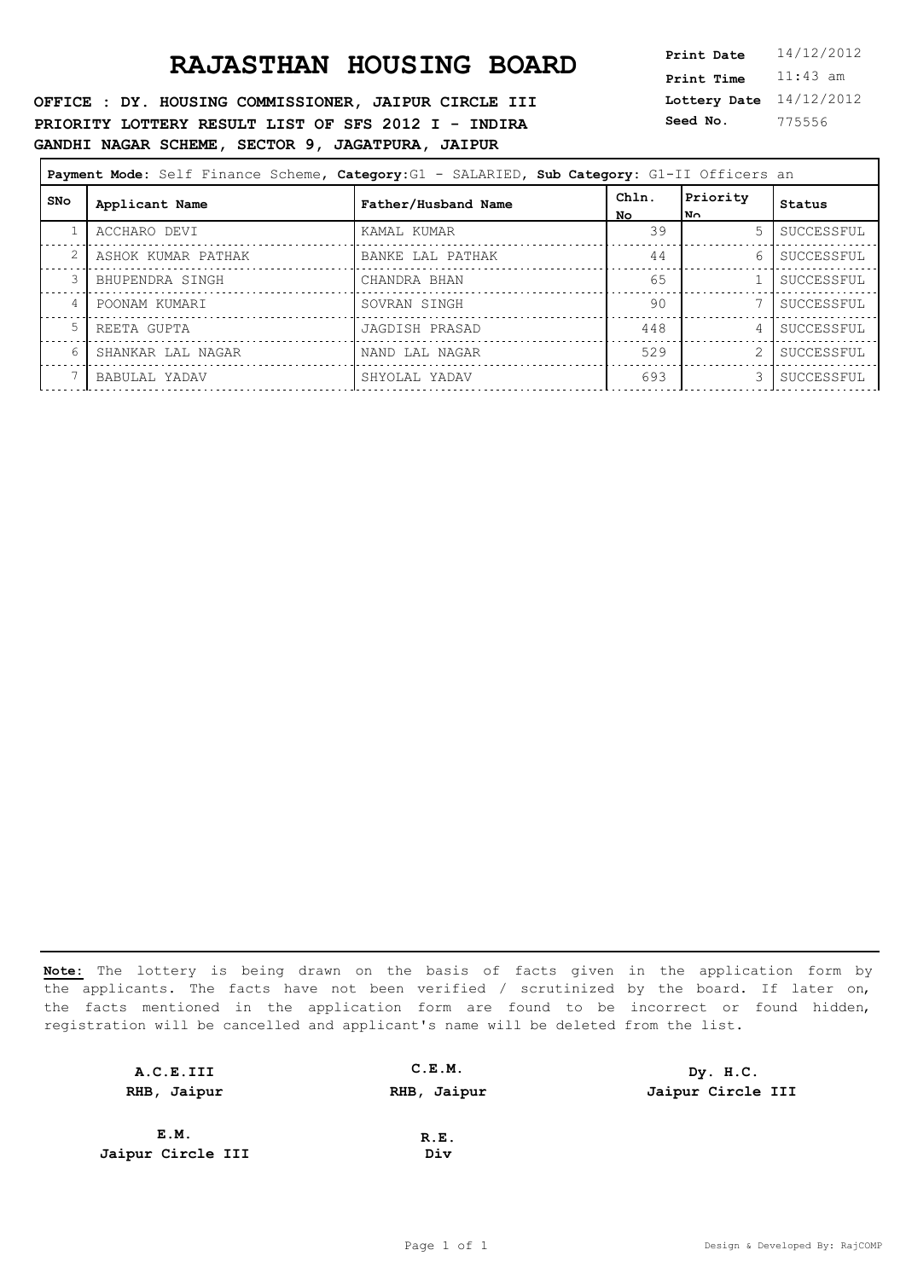**OFFICE : DY. HOUSING COMMISSIONER, JAIPUR CIRCLE III PRIORITY LOTTERY RESULT LIST OF SFS 2012 I - INDIRA GANDHI NAGAR SCHEME, SECTOR 9, JAGATPURA, JAIPUR**

**Lottery Date** 14/12/2012 **Print Time** 11:43 am **Seed No.** 775556

| Payment Mode: Self Finance Scheme, Category: G1 - SALARIED, Sub Category: G1-II Officers an |                    |                     |              |                 |            |  |
|---------------------------------------------------------------------------------------------|--------------------|---------------------|--------------|-----------------|------------|--|
| SNo                                                                                         | Applicant Name     | Father/Husband Name | Chln.<br>No. | Priority<br> N∩ | Status     |  |
|                                                                                             | ACCHARO DEVI       | KAMAL KUMAR         | 39           | $5 -$           | SUCCESSFUL |  |
| 2                                                                                           | ASHOK KUMAR PATHAK | BANKE LAL PATHAK    | 44           | 6               | SUCCESSFUL |  |
| 3                                                                                           | BHUPENDRA SINGH    | CHANDRA BHAN        | 65           |                 | SUCCESSFUL |  |
| 4                                                                                           | POONAM KUMARI      | SOVRAN SINGH        | 90           | 7               | SUCCESSFUL |  |
| 5                                                                                           | REETA GUPTA        | JAGDISH PRASAD      | 448          | $\overline{4}$  | SUCCESSFUL |  |
| 6                                                                                           | SHANKAR LAL NAGAR  | NAND LAL NAGAR      | 529          | 2               | SUCCESSFUL |  |
|                                                                                             | BABULAL YADAV      | SHYOLAL YADAV       | 693          | 3.              | SUCCESSFUL |  |
|                                                                                             |                    |                     |              |                 |            |  |

| A.C.E.III         | C.E.M.      | Dy. H.C.          |
|-------------------|-------------|-------------------|
| RHB, Jaipur       | RHB, Jaipur | Jaipur Circle III |
|                   |             |                   |
| E.M.              | R.E.        |                   |
| Jaipur Circle III | Div         |                   |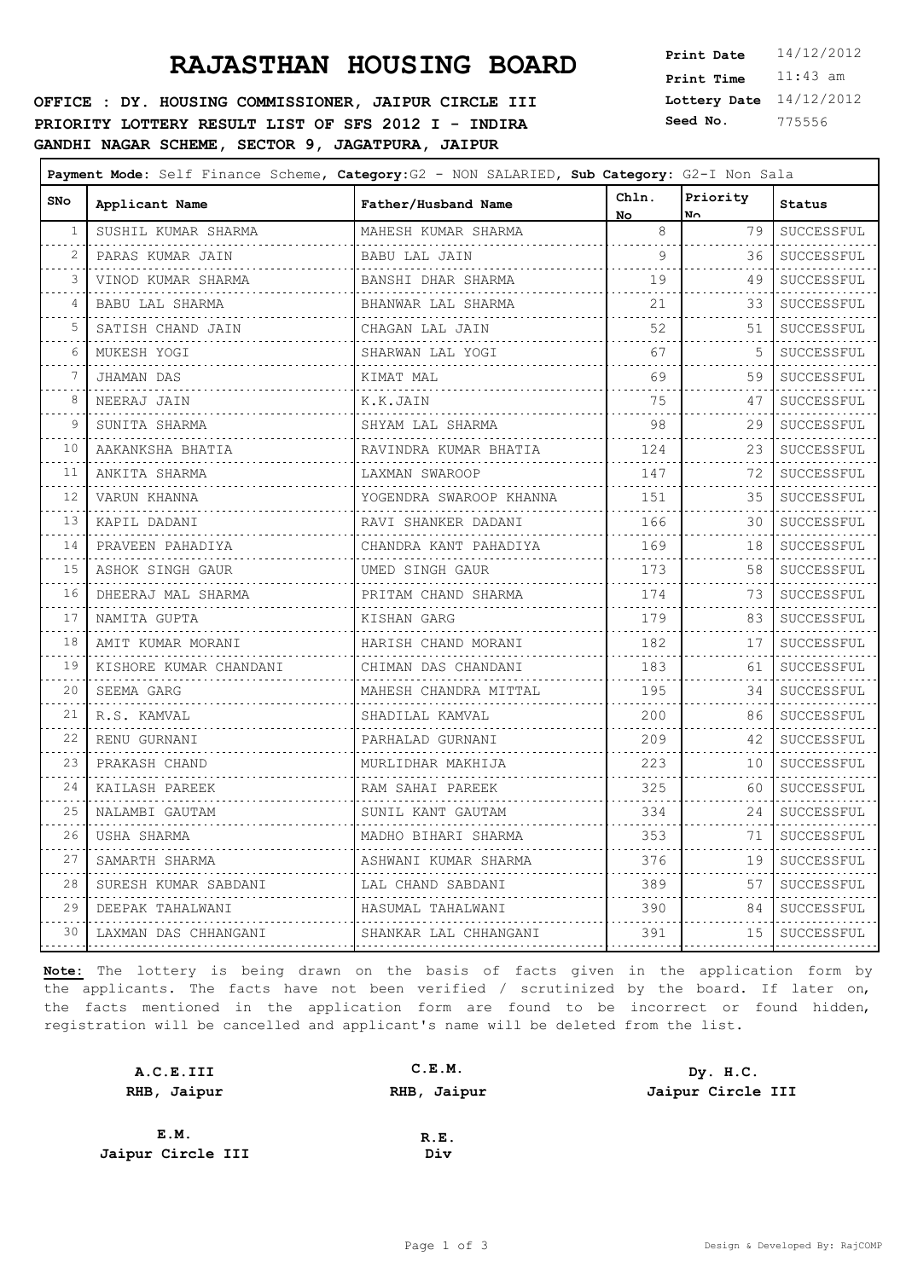**OFFICE : DY. HOUSING COMMISSIONER, JAIPUR CIRCLE III PRIORITY LOTTERY RESULT LIST OF SFS 2012 I - INDIRA GANDHI NAGAR SCHEME, SECTOR 9, JAGATPURA, JAIPUR**

**Lottery Date** 14/12/2012 **Print Time** 11:43 am **Seed No.** 775556

| <b>SNo</b>                 | Chln.<br>Priority      |                         |                           |                  |                                 |
|----------------------------|------------------------|-------------------------|---------------------------|------------------|---------------------------------|
|                            | Applicant Name         | Father/Husband Name     | No.                       | No.              | Status                          |
| 1                          | SUSHIL KUMAR SHARMA    | MAHESH KUMAR SHARMA     | 8                         | 79               | SUCCESSFUL<br>.                 |
| 2                          | PARAS KUMAR JAIN       | BABU LAL JAIN           | 9<br>$- - - - - - - -$    | 36               | SUCCESSFUL<br>.                 |
| 3                          | VINOD KUMAR SHARMA     | BANSHI DHAR SHARMA      | 19                        | 49               | SUCCESSFUL                      |
| 4                          | BABU LAL SHARMA        | BHANWAR LAL SHARMA      | 21<br>.                   | 33               | SUCCESSFUL<br>.                 |
| 5                          | SATISH CHAND JAIN      | CHAGAN LAL JAIN         | 52                        | 51               | SUCCESSFUL<br>.                 |
| 6                          | MUKESH YOGI            | SHARWAN LAL YOGI        | 67                        | 5                | SUCCESSFUL                      |
| 7                          | JHAMAN DAS<br>.        | KIMAT MAL<br>.          | 69                        | 59               | SUCCESSFUL<br>.                 |
| 8                          | NEERAJ JAIN            | K.K.JAIN                | 75<br>.                   | 47               | SUCCESSFUL                      |
| 9                          | .<br>SUNITA SHARMA     | SHYAM LAL SHARMA        | 98<br>the property of the | 29               | .<br>SUCCESSFUL<br>. <u>.</u> . |
| 10                         | AAKANKSHA BHATIA<br>.  | RAVINDRA KUMAR BHATIA   | 124<br>.                  | 23               | SUCCESSFUL                      |
| 11                         | ANKITA SHARMA          | LAXMAN SWAROOP          | 147                       | 72               | .<br>SUCCESSFUL                 |
| 12                         | .<br>VARUN KHANNA      | YOGENDRA SWAROOP KHANNA | .<br>151                  | 35               | SUCCESSFUL                      |
| $\sim$ $\sim$ $\sim$<br>13 | .<br>KAPIL DADANI      | RAVI SHANKER DADANI     | .<br>166                  | 30               | .<br>SUCCESSFUL                 |
| 14                         | PRAVEEN PAHADIYA       | CHANDRA KANT PAHADIYA   | 169                       | 18               | SUCCESSFUL                      |
| 15                         | ASHOK SINGH GAUR       | UMED SINGH GAUR         | .<br>173                  | 58               | .<br>SUCCESSFUL                 |
| 16                         | DHEERAJ MAL SHARMA     | PRITAM CHAND SHARMA     | .<br>174                  | 73               | .<br>SUCCESSFUL                 |
| 17                         | NAMITA GUPTA           | KISHAN GARG             | 179                       | 83               | SUCCESSFUL                      |
| $\sim$ $\sim$ $\sim$<br>18 | AMIT KUMAR MORANI      | HARISH CHAND MORANI     | .<br>182                  | 17               | .<br>SUCCESSFUL                 |
| 19                         | KISHORE KUMAR CHANDANI | CHIMAN DAS CHANDANI     | .<br>183                  | . <b>.</b><br>61 | .<br>SUCCESSFUL                 |
| $\sim$ $\sim$ $\sim$<br>20 | SEEMA GARG             | MAHESH CHANDRA MITTAL   | .<br>195                  | 34               | .<br>SUCCESSFUL                 |
| $\sim$ $\sim$ $\sim$<br>21 | .<br>R.S. KAMVAL       | SHADILAL KAMVAL         | .<br>200                  | 86               | .<br>SUCCESSFUL                 |
| 22                         | .<br>RENU GURNANI      | PARHALAD GURNANI        | 209                       | 42               | SUCCESSFUL                      |
| 23                         | .<br>PRAKASH CHAND     | MURLIDHAR MAKHIJA       | 223                       | 10               | .<br>SUCCESSFUL                 |
| 24                         | KAILASH PAREEK         | RAM SAHAI PAREEK        | 325                       | 60               | SUCCESSFUL                      |
| $\sim$ $\sim$ $\sim$<br>25 | .<br>NALAMBI GAUTAM    | SUNIL KANT GAUTAM       | .<br>334                  | 24               | .<br>SUCCESSFUL                 |
| 26                         | USHA SHARMA            | MADHO BIHARI SHARMA     | .<br>353                  | 71               | .<br>SUCCESSFUL                 |
| 27                         | SAMARTH SHARMA         | ASHWANI KUMAR SHARMA    | 376                       | 19               | SUCCESSFUL                      |
| 28                         | SURESH KUMAR SABDANI   | LAL CHAND SABDANI       | 389                       | 57               | SUCCESSFUL                      |
| 29                         | DEEPAK TAHALWANI       | HASUMAL TAHALWANI       | 390                       | 84               | SUCCESSFUL                      |
| 30                         | LAXMAN DAS CHHANGANI   | SHANKAR LAL CHHANGANI   | 391                       | 15 I             | .<br>SUCCESSFUL                 |

| A.C.E.III         | C.E.M.      | Dy. H.C.          |
|-------------------|-------------|-------------------|
| RHB, Jaipur       | RHB, Jaipur | Jaipur Circle III |
|                   |             |                   |
| E.M.              | R.E.        |                   |
| Jaipur Circle III | Div         |                   |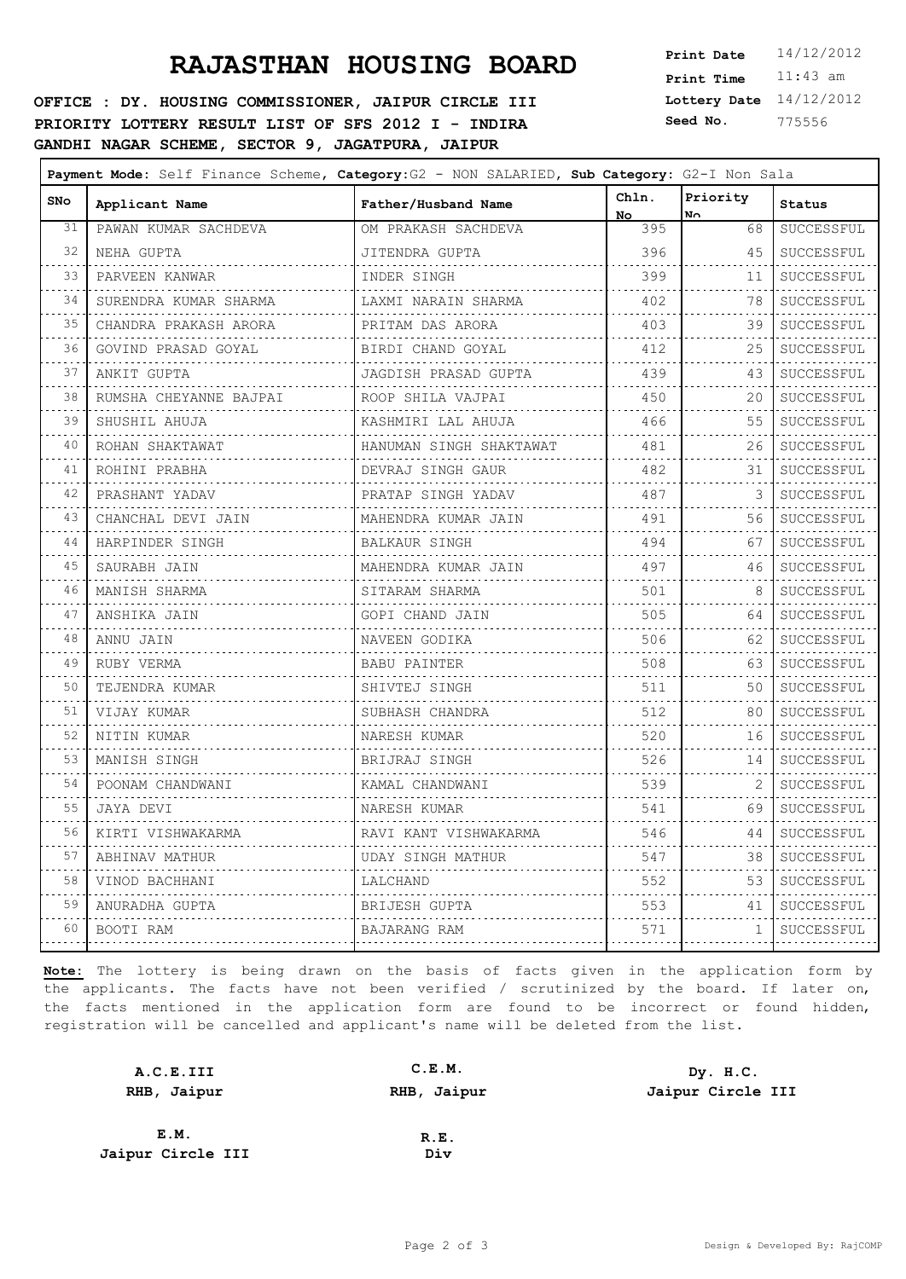**OFFICE : DY. HOUSING COMMISSIONER, JAIPUR CIRCLE III PRIORITY LOTTERY RESULT LIST OF SFS 2012 I - INDIRA GANDHI NAGAR SCHEME, SECTOR 9, JAGATPURA, JAIPUR**

**Lottery Date** 14/12/2012 **Print Time** 11:43 am **Seed No.** 775556

| <b>SNo</b>                 | Applicant Name         | Father/Husband Name     | Chln.<br>No.    | Priority<br>No. | Status                     |
|----------------------------|------------------------|-------------------------|-----------------|-----------------|----------------------------|
| 31                         | PAWAN KUMAR SACHDEVA   | OM PRAKASH SACHDEVA     | 395             | 68              | SUCCESSFUL                 |
| 32                         | NEHA GUPTA             | JITENDRA GUPTA          | 396             | 45              | SUCCESSFUL                 |
| 33                         | PARVEEN KANWAR         | INDER SINGH             | 399             | 11              | SUCCESSFUL                 |
| 34                         | SURENDRA KUMAR SHARMA  | LAXMI NARAIN SHARMA     | 402             | 78              | .<br>SUCCESSFUL            |
| $\sim$ $\sim$ $\sim$<br>35 | CHANDRA PRAKASH ARORA  | PRITAM DAS ARORA        | 403             | 39              | SUCCESSFUL                 |
| $\sim 10^{-1}$<br>36       | GOVIND PRASAD GOYAL    | BIRDI CHAND GOYAL       | .<br>412        | 25              | .<br>SUCCESSFUL            |
| 37                         | ANKIT GUPTA            | JAGDISH PRASAD GUPTA    | .<br>439        | 43              | .<br>SUCCESSFUL            |
| 38                         | RUMSHA CHEYANNE BAJPAI | ROOP SHILA VAJPAI       | 450             | 20              | SUCCESSFUL                 |
| 39                         | SHUSHIL AHUJA          | KASHMIRI LAL AHUJA      | 466             | 55              | .<br>SUCCESSFUL            |
| $\sim$ 10 $\sim$<br>40     | .<br>ROHAN SHAKTAWAT   | HANUMAN SINGH SHAKTAWAT | .<br>481        | 26              | .<br>SUCCESSFUL            |
| $\sim$ $\sim$ $\sim$<br>41 | ROHINI PRABHA          | DEVRAJ SINGH GAUR       | .<br>482        | 31              | .<br>$\tt SUCCESSFUL$      |
| $\sim$ $\sim$ $\sim$<br>42 | PRASHANT YADAV         | PRATAP SINGH YADAV      | 487             | 3               | .<br>SUCCESSFUL            |
| 43                         | CHANCHAL DEVI JAIN     | MAHENDRA KUMAR JAIN     | .<br>491        | 56              | SUCCESSFUL                 |
| 44                         | HARPINDER SINGH        | BALKAUR SINGH           | <u>.</u><br>494 | 67              | .<br>SUCCESSFUL            |
| 45                         | SAURABH JAIN           | MAHENDRA KUMAR JAIN     | 497             | 46              | SUCCESSFUL                 |
| 46                         | .<br>MANISH SHARMA     | SITARAM SHARMA          | .<br>501        | 8               | .<br>SUCCESSFUL            |
| $\sim$ $\sim$ $\sim$<br>47 | .<br>ANSHIKA JAIN      | GOPI CHAND JAIN         | .<br>505        | 64              | .<br>SUCCESSFUL            |
| 48                         | .<br>ANNU JAIN         | .<br>NAVEEN GODIKA      | 506             | 62              | .<br>SUCCESSFUL            |
| 49                         | .<br>RUBY VERMA        | .<br>BABU PAINTER       | 508             | 63              | .<br>SUCCESSFUL            |
| 50                         | TEJENDRA KUMAR         | SHIVTEJ SINGH           | 511             | 50              | .<br>SUCCESSFUL            |
| والمحامر<br>51             | .<br>VIJAY KUMAR       | .<br>SUBHASH CHANDRA    | 512             | 80              | .<br>SUCCESSFUL            |
| $\sim$ $\sim$ $\sim$<br>52 | NITIN KUMAR            | NARESH KUMAR            | 520             | 16              | SUCCESSFUL                 |
| $\sim$ $\sim$ $\sim$<br>53 | .<br>MANISH SINGH      | .<br>BRIJRAJ SINGH      | 526             | 14              | .<br>SUCCESSFUL            |
| د د د<br>54                | POONAM CHANDWANI       | KAMAL CHANDWANI         | .<br>539        |                 | .<br>SUCCESSFUL            |
| 55                         | JAYA DEVI              | NARESH KUMAR            | 541             | 69              | SUCCESSFUL                 |
| $\sim$ $\sim$ $\sim$<br>56 | KIRTI VISHWAKARMA      | RAVI KANT VISHWAKARMA   | 546             | 44              | .<br>SUCCESSFUL            |
| 57                         | ABHINAV MATHUR         | UDAY SINGH MATHUR       | 547             | 38              | . <u>.</u> .<br>SUCCESSFUL |
| $\sim$ $\sim$ $\sim$<br>58 | VINOD BACHHANI         | LALCHAND                | .<br>552        | 53              | .<br>SUCCESSFUL            |
| والمرابين<br>59            | ANURADHA GUPTA<br>.    | .<br>BRIJESH GUPTA<br>. | 553             | 41              | SUCCESSFUL                 |
| 60                         | BOOTI RAM              | BAJARANG RAM            | 571             | $\mathbf{1}$    | SUCCESSFUL                 |
|                            |                        |                         | .               | .               | .                          |

| A.C.E.III         | C.E.M.      | Dy. H.C.          |
|-------------------|-------------|-------------------|
| RHB, Jaipur       | RHB, Jaipur | Jaipur Circle III |
|                   |             |                   |
| E.M.              | R.E.        |                   |
| Jaipur Circle III | Div         |                   |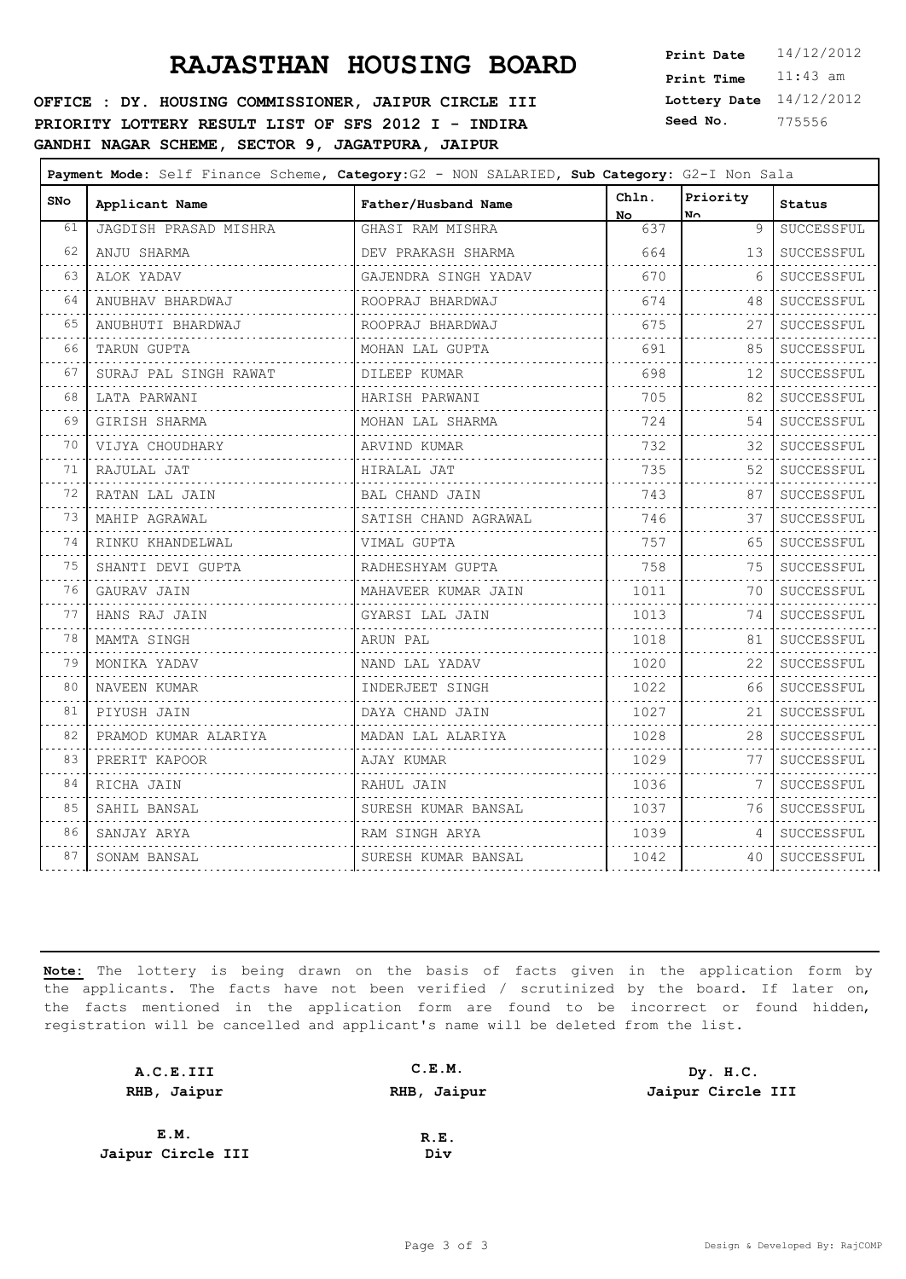**OFFICE : DY. HOUSING COMMISSIONER, JAIPUR CIRCLE III PRIORITY LOTTERY RESULT LIST OF SFS 2012 I - INDIRA GANDHI NAGAR SCHEME, SECTOR 9, JAGATPURA, JAIPUR**

**Lottery Date** 14/12/2012 **Print Time** 11:43 am **Seed No.** 775556

| <b>SNo</b>                 | Applicant Name               | Father/Husband Name  | Chln.<br>No. | Priority<br>No. | <b>Status</b>   |
|----------------------------|------------------------------|----------------------|--------------|-----------------|-----------------|
| 61                         | <b>JAGDISH PRASAD MISHRA</b> | GHASI RAM MISHRA     | 637          | 9               | SUCCESSFUL      |
| 62                         | ANJU SHARMA                  | DEV PRAKASH SHARMA   | 664          | 13              | SUCCESSFUL      |
| 63                         | ALOK YADAV                   | GAJENDRA SINGH YADAV | 670          | 6               | SUCCESSFUL      |
| 64                         | ANUBHAV BHARDWAJ             | ROOPRAJ BHARDWAJ     | 674<br>.     | 48              | SUCCESSFUL      |
| 65                         | ANUBHUTI BHARDWAJ            | ROOPRAJ BHARDWAJ     | 675          | 27              | SUCCESSFUL      |
| 66                         | TARUN GUPTA                  | MOHAN LAL GUPTA      | 691          | 85              | SUCCESSFUL      |
| 67                         | SURAJ PAL SINGH RAWAT        | DILEEP KUMAR         | 698          | 12              | SUCCESSFUL      |
| 68                         | LATA PARWANI                 | HARISH PARWANI       | 705          | 82              | SUCCESSFUL      |
| 69                         | GIRISH SHARMA                | MOHAN LAL SHARMA     | 724          | 54              | SUCCESSFUL      |
| 70                         | VIJYA CHOUDHARY              | ARVIND KUMAR         | 732          | 32              | SUCCESSFUL      |
| 71                         | RAJULAL JAT                  | HIRALAL JAT          | 735          | 52              | SUCCESSFUL      |
| 72                         | RATAN LAL JAIN               | BAL CHAND JAIN       | 743          | 87              | SUCCESSFUL      |
| 73                         | MAHIP AGRAWAL                | SATISH CHAND AGRAWAL | 746          | 37              | SUCCESSFUL      |
| $\sim$ $\sim$ $\sim$<br>74 | RINKU KHANDELWAL             | VIMAL GUPTA          | 757          | 65              | SUCCESSFUL      |
| 75                         | SHANTI DEVI GUPTA            | RADHESHYAM GUPTA     | 758<br>.     | 75              | SUCCESSFUL      |
| 76                         | GAURAV JAIN                  | MAHAVEER KUMAR JAIN  | 1011         | 70              | .<br>SUCCESSFUL |
| 77                         | HANS RAJ JAIN                | GYARSI LAL JAIN      | 1013         | 74              | SUCCESSFUL      |
| 78                         | MAMTA SINGH                  | ARUN PAL             | 1018         | 81              | SUCCESSFUL      |
| 79                         | MONIKA YADAV                 | NAND LAL YADAV       | 1020         | 22              | SUCCESSFUL      |
| 80                         | NAVEEN KUMAR                 | INDERJEET SINGH      | 1022         | 66              | SUCCESSFUL      |
| 81                         | PIYUSH JAIN                  | DAYA CHAND JAIN      | 1027         | 21              | SUCCESSFUL      |
| 82                         | PRAMOD KUMAR ALARIYA         | MADAN LAL ALARIYA    | 1028         | 28              | SUCCESSFUL      |
| 83                         | PRERIT KAPOOR                | AJAY KUMAR           | 1029         | 77              | SUCCESSFUL      |
| 84                         | RICHA JAIN                   | RAHUL JAIN           | 1036         | 7               | SUCCESSFUL      |
| 85                         | SAHIL BANSAL                 | SURESH KUMAR BANSAL  | 1037         | 76              | SUCCESSFUL      |
| 86                         | SANJAY ARYA                  | RAM SINGH ARYA       | 1039         | 4               | SUCCESSFUL      |
| 87                         | SONAM BANSAL                 | SURESH KUMAR BANSAL  | 1042         | 40              | SUCCESSFUL      |
|                            |                              |                      |              |                 |                 |

| A.C.E.III         | C.E.M.      | Dy. H.C.          |
|-------------------|-------------|-------------------|
| RHB, Jaipur       | RHB, Jaipur | Jaipur Circle III |
|                   |             |                   |
| E.M.              | R.E.        |                   |
| Jaipur Circle III | Div         |                   |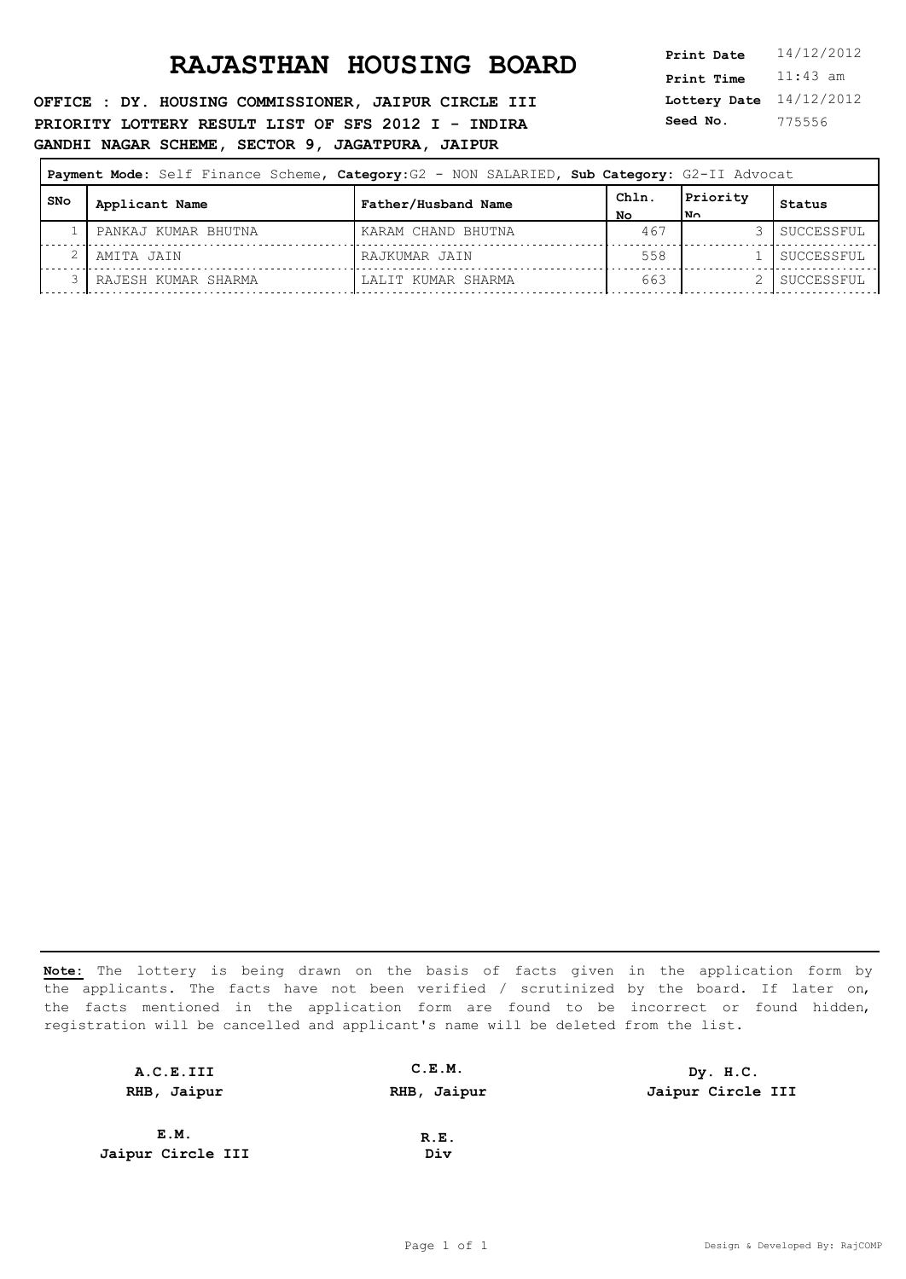**OFFICE : DY. HOUSING COMMISSIONER, JAIPUR CIRCLE III PRIORITY LOTTERY RESULT LIST OF SFS 2012 I - INDIRA GANDHI NAGAR SCHEME, SECTOR 9, JAGATPURA, JAIPUR**

**Lottery Date** 14/12/2012 **Print Time** 11:43 am **Seed No.** 775556

| Payment Mode: Self Finance Scheme, Category: G2 - NON SALARIED, Sub Category: G2-II Advocat |     |                     |                     |            |                       |            |
|---------------------------------------------------------------------------------------------|-----|---------------------|---------------------|------------|-----------------------|------------|
|                                                                                             | SNo | Applicant Name      | Father/Husband Name | ChIn<br>NΟ | Priority<br><b>No</b> | Status     |
|                                                                                             |     | PANKAJ KUMAR BHUTNA | KARAM CHAND BHUTNA  | 467        |                       | SUCCESSFUL |
|                                                                                             |     | AMITA JAIN          | RAJKUMAR JAIN       | 558        |                       | SUCCESSFUL |
|                                                                                             |     | RAJESH KUMAR SHARMA | LALIT KUMAR SHARMA  | 663        |                       | SUCCESSFUL |

| A.C.E.III         | C.E.M.      | Dy. H.C.          |
|-------------------|-------------|-------------------|
| RHB, Jaipur       | RHB, Jaipur | Jaipur Circle III |
| E.M.              |             |                   |
|                   | R.E.        |                   |
| Jaipur Circle III | Div         |                   |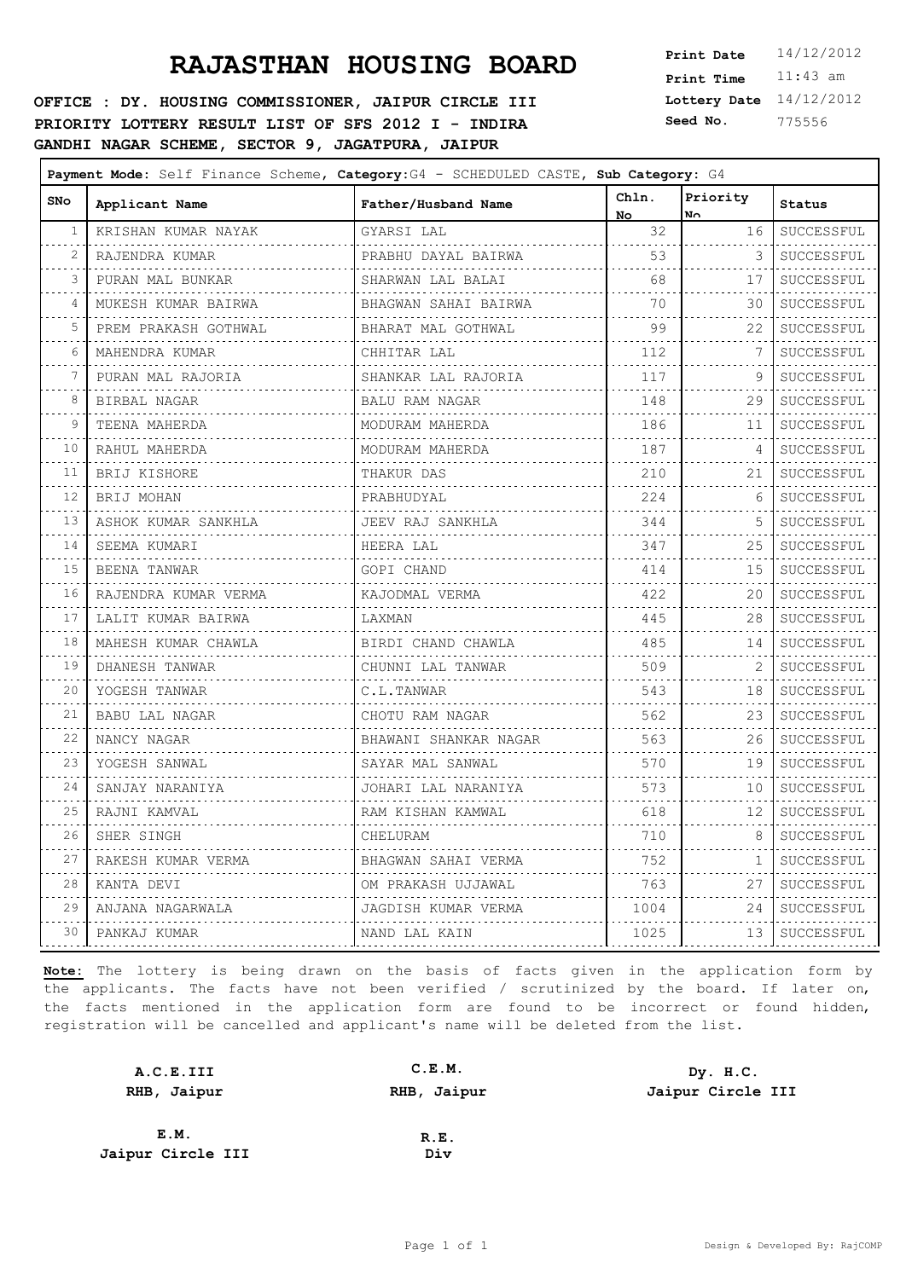**OFFICE : DY. HOUSING COMMISSIONER, JAIPUR CIRCLE III PRIORITY LOTTERY RESULT LIST OF SFS 2012 I - INDIRA GANDHI NAGAR SCHEME, SECTOR 9, JAGATPURA, JAIPUR**

**Lottery Date** 14/12/2012 **Print Time** 11:43 am **Seed No.** 775556

| <b>SNo</b>                 | Applicant Name       | Father/Husband Name      | Chln.<br>No.               | Priority<br>No.  | Status          |
|----------------------------|----------------------|--------------------------|----------------------------|------------------|-----------------|
| 1                          | KRISHAN KUMAR NAYAK  | GYARSI LAL               | 32<br>and the state of the | 16               | SUCCESSFUL      |
| $\sim$ $\sim$ $\sim$<br>2  | RAJENDRA KUMAR       | PRABHU DAYAL BAIRWA      | 53<br>2.2.2.2.2.2          | 3                | .<br>SUCCESSFUL |
| 3                          | PURAN MAL BUNKAR     | SHARWAN LAL BALAI        | 68                         | 17               | SUCCESSFUL      |
| 4                          | MUKESH KUMAR BAIRWA  | BHAGWAN SAHAI BAIRWA     | .<br>70                    | 30               | SUCCESSFUL      |
| 5                          | PREM PRAKASH GOTHWAL | BHARAT MAL GOTHWAL       | .<br>99                    | 22               | SUCCESSFUL      |
| 6                          | MAHENDRA KUMAR       | CHHITAR LAL              | .<br>112                   | 7                | .<br>SUCCESSFUL |
| 7                          | PURAN MAL RAJORIA    | .<br>SHANKAR LAL RAJORIA | 117                        | 9                | SUCCESSFUL      |
| 8                          | .<br>BIRBAL NAGAR    | BALU RAM NAGAR           | .<br>148                   | 29               | .<br>SUCCESSFUL |
| 9                          | .<br>TEENA MAHERDA   | MODURAM MAHERDA          | .<br>186                   | 11               | .<br>SUCCESSFUL |
| 10                         | RAHUL MAHERDA        | MODURAM MAHERDA          | 187                        | 4                | SUCCESSFUL      |
| 11                         | BRIJ KISHORE         | .<br>THAKUR DAS          | 210                        | 21               | .<br>SUCCESSFUL |
| $\sim 100$<br>12           | .<br>BRIJ MOHAN      | .<br>PRABHUDYAL          | 224                        | 6                | .<br>SUCCESSFUL |
| $\sim$ $\sim$ $\sim$<br>13 | ASHOK KUMAR SANKHLA  | .<br>JEEV RAJ SANKHLA    | .<br>344                   | 5                | .<br>SUCCESSFUL |
| <b>Service</b><br>14       | SEEMA KUMARI         | .<br>HEERA LAL           | 347                        | 25               | .<br>SUCCESSFUL |
| 15                         | .<br>BEENA TANWAR    | .<br>GOPI CHAND          | 414                        | 15               | SUCCESSFUL      |
| 16                         | RAJENDRA KUMAR VERMA | .<br>KAJODMAL VERMA      | 422                        | 20               | .<br>SUCCESSFUL |
| 17                         | LALIT KUMAR BAIRWA   | LAXMAN                   | 445                        | 28               | SUCCESSFUL      |
| 18                         | MAHESH KUMAR CHAWLA  | .<br>BIRDI CHAND CHAWLA  | 485                        | 14               | .<br>SUCCESSFUL |
| 19                         | DHANESH TANWAR       | CHUNNI LAL TANWAR        | .<br>509                   | $- - - - -$<br>2 | .<br>SUCCESSFUL |
| $\sim$ $\sim$ $\sim$<br>20 | .<br>YOGESH TANWAR   | C.L.TANWAR               | 543                        | 18               | .<br>SUCCESSFUL |
| 21                         | BABU LAL NAGAR       | CHOTU RAM NAGAR          | 562                        | 23               | SUCCESSFUL      |
| 22                         | NANCY NAGAR          | BHAWANI SHANKAR NAGAR    | 563                        | 26               | SUCCESSFUL      |
| 23                         | .<br>YOGESH SANWAL   | SAYAR MAL SANWAL         | 570                        | 19               | .<br>SUCCESSFUL |
| 24                         | SANJAY NARANIYA<br>. | JOHARI LAL NARANIYA      | 573                        | 10               | SUCCESSFUL      |
| 25                         | RAJNI KAMVAL         | RAM KISHAN KAMWAL        | 618                        | 12               | .<br>SUCCESSFUL |
| 26                         | .<br>SHER SINGH      | CHELURAM                 | 710                        | 8                | .<br>SUCCESSFUL |
| 27                         | RAKESH KUMAR VERMA   | BHAGWAN SAHAI VERMA      | 752                        | 1                | SUCCESSFUL      |
| 28                         | KANTA DEVI           | OM PRAKASH UJJAWAL       | 763                        | 27               | SUCCESSFUL      |
| 29                         | ANJANA NAGARWALA     | JAGDISH KUMAR VERMA      | 1004                       | 24               | SUCCESSFUL      |
| 30                         | PANKAJ KUMAR         | NAND LAL KAIN            | 1025                       | 13 I             | .<br>SUCCESSFUL |

| A.C.E.III         | C.E.M.      | Dy. H.C.          |
|-------------------|-------------|-------------------|
| RHB, Jaipur       | RHB, Jaipur | Jaipur Circle III |
|                   |             |                   |
| E.M.              | R.E.        |                   |
| Jaipur Circle III | Div         |                   |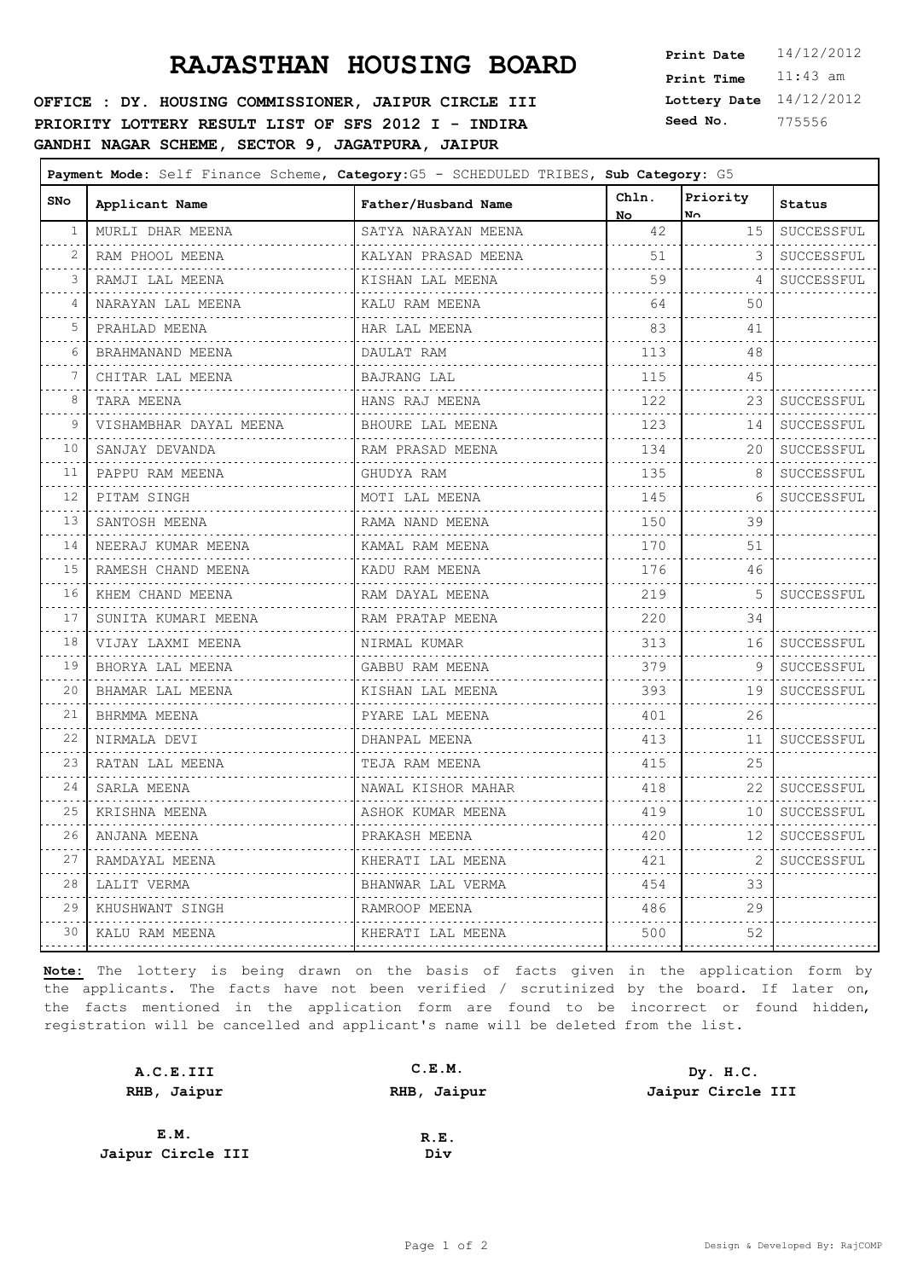**OFFICE : DY. HOUSING COMMISSIONER, JAIPUR CIRCLE III PRIORITY LOTTERY RESULT LIST OF SFS 2012 I - INDIRA GANDHI NAGAR SCHEME, SECTOR 9, JAGATPURA, JAIPUR**

**Lottery Date** 14/12/2012 **Print Time** 11:43 am **Seed No.** 775556

| SNo                        | Applicant Name         | Father/Husband Name    | Chln.<br>No. | Priority<br>No.                                                                                                                         | Status                     |
|----------------------------|------------------------|------------------------|--------------|-----------------------------------------------------------------------------------------------------------------------------------------|----------------------------|
| 1                          | MURLI DHAR MEENA       | SATYA NARAYAN MEENA    | 42           | 15                                                                                                                                      | SUCCESSFUL                 |
| 2                          | RAM PHOOL MEENA        | KALYAN PRASAD MEENA    | .<br>51      | 3                                                                                                                                       | .<br>SUCCESSFUL            |
| 3                          | RAMJI LAL MEENA        | KISHAN LAL MEENA       | 59           | 4                                                                                                                                       | SUCCESSFUL                 |
| 4                          | NARAYAN LAL MEENA      | KALU RAM MEENA         | 64           | 50                                                                                                                                      |                            |
| 5                          | PRAHLAD MEENA          | .<br>HAR LAL MEENA     | 83           | 41                                                                                                                                      |                            |
| 6                          | BRAHMANAND MEENA       | .<br>DAULAT RAM        | .<br>113     | $\sim$ $\sim$ $\sim$<br>48                                                                                                              |                            |
| 7                          | CHITAR LAL MEENA       | .<br>BAJRANG LAL       | 115          | 45                                                                                                                                      |                            |
| 8                          | TARA MEENA             | .<br>HANS RAJ MEENA    | 122          | 23                                                                                                                                      | SUCCESSFUL                 |
| 9                          | VISHAMBHAR DAYAL MEENA | BHOURE LAL MEENA       | .<br>123     | 14                                                                                                                                      | SUCCESSFUL                 |
| 10                         | SANJAY DEVANDA         | RAM PRASAD MEENA       | 134          | 20                                                                                                                                      | SUCCESSFUL                 |
| 11                         | .<br>PAPPU RAM MEENA   | .<br>GHUDYA RAM        | 135          | 8                                                                                                                                       | .<br>SUCCESSFUL            |
| 12                         | .<br>PITAM SINGH       | .<br>MOTI LAL MEENA    | 145          | 6                                                                                                                                       | .<br>SUCCESSFUL            |
| $\sim$ $\sim$ $\sim$<br>13 | .<br>SANTOSH MEENA     | RAMA NAND MEENA        | .<br>150     | $- - -$<br>39                                                                                                                           |                            |
| $\sim 10^{-1}$<br>14       | NEERAJ KUMAR MEENA     | .<br>KAMAL RAM MEENA   | 170          | 51                                                                                                                                      |                            |
| 15                         | RAMESH CHAND MEENA     | KADU RAM MEENA         | 176          | 46                                                                                                                                      |                            |
| 16                         | KHEM CHAND MEENA       | RAM DAYAL MEENA        | .<br>219     | 5                                                                                                                                       | SUCCESSFUL                 |
| 17                         | SUNITA KUMARI MEENA    | RAM PRATAP MEENA       | 220          | 34                                                                                                                                      |                            |
| 18                         | VIJAY LAXMI MEENA      | .<br>NIRMAL KUMAR      | 313          | 16                                                                                                                                      | SUCCESSFUL                 |
| 19                         | BHORYA LAL MEENA       | .<br>GABBU RAM MEENA   | 379          | 9                                                                                                                                       | . <b>.</b> .<br>SUCCESSFUL |
| $\sim$ $\sim$ $\sim$<br>20 | BHAMAR LAL MEENA       | KISHAN LAL MEENA       | .<br>393     | 19<br>and and                                                                                                                           | .<br>SUCCESSFUL            |
| 21                         | .<br>BHRMMA MEENA<br>. | .<br>PYARE LAL MEENA   | 401          | 26                                                                                                                                      |                            |
| 22                         | NIRMALA DEVI<br>.      | DHANPAL MEENA          | 413<br>.     | 11<br>.                                                                                                                                 | SUCCESSFUL                 |
| 23                         | RATAN LAL MEENA        | TEJA RAM MEENA         | 415          | 25                                                                                                                                      |                            |
| 24                         | SARLA MEENA            | NAWAL KISHOR MAHAR     | 418          | 22                                                                                                                                      | SUCCESSFUL                 |
| 25                         | .<br>KRISHNA MEENA     | ASHOK KUMAR MEENA      | 419          | 10                                                                                                                                      | . <u>.</u><br>SUCCESSFUL   |
| 26                         | .<br>ANJANA MEENA<br>. | .<br>PRAKASH MEENA     | 420          | 12                                                                                                                                      | .<br>SUCCESSFUL            |
| $\sim$ $\sim$ $\sim$<br>27 | RAMDAYAL MEENA<br>.    | KHERATI LAL MEENA      | .<br>421     | $\frac{1}{2} \left( \frac{1}{2} \right) \left( \frac{1}{2} \right) \left( \frac{1}{2} \right) \left( \frac{1}{2} \right)$<br>2<br>- - - | .<br>SUCCESSFUL            |
| 28                         | LALIT VERMA<br>.       | BHANWAR LAL VERMA<br>. | 454          | 33                                                                                                                                      |                            |
| 29                         | KHUSHWANT SINGH        | RAMROOP MEENA          | 486          | 29                                                                                                                                      |                            |
| 30                         | KALU RAM MEENA         | KHERATI LAL MEENA      | 500          | 52<br>.                                                                                                                                 |                            |
|                            |                        |                        |              |                                                                                                                                         | . <b>.</b> .               |

| A.C.E.III         | C.E.M.      | Dy. H.C.          |
|-------------------|-------------|-------------------|
| RHB, Jaipur       | RHB, Jaipur | Jaipur Circle III |
|                   |             |                   |
| E.M.              | R.E.        |                   |
| Jaipur Circle III | Div         |                   |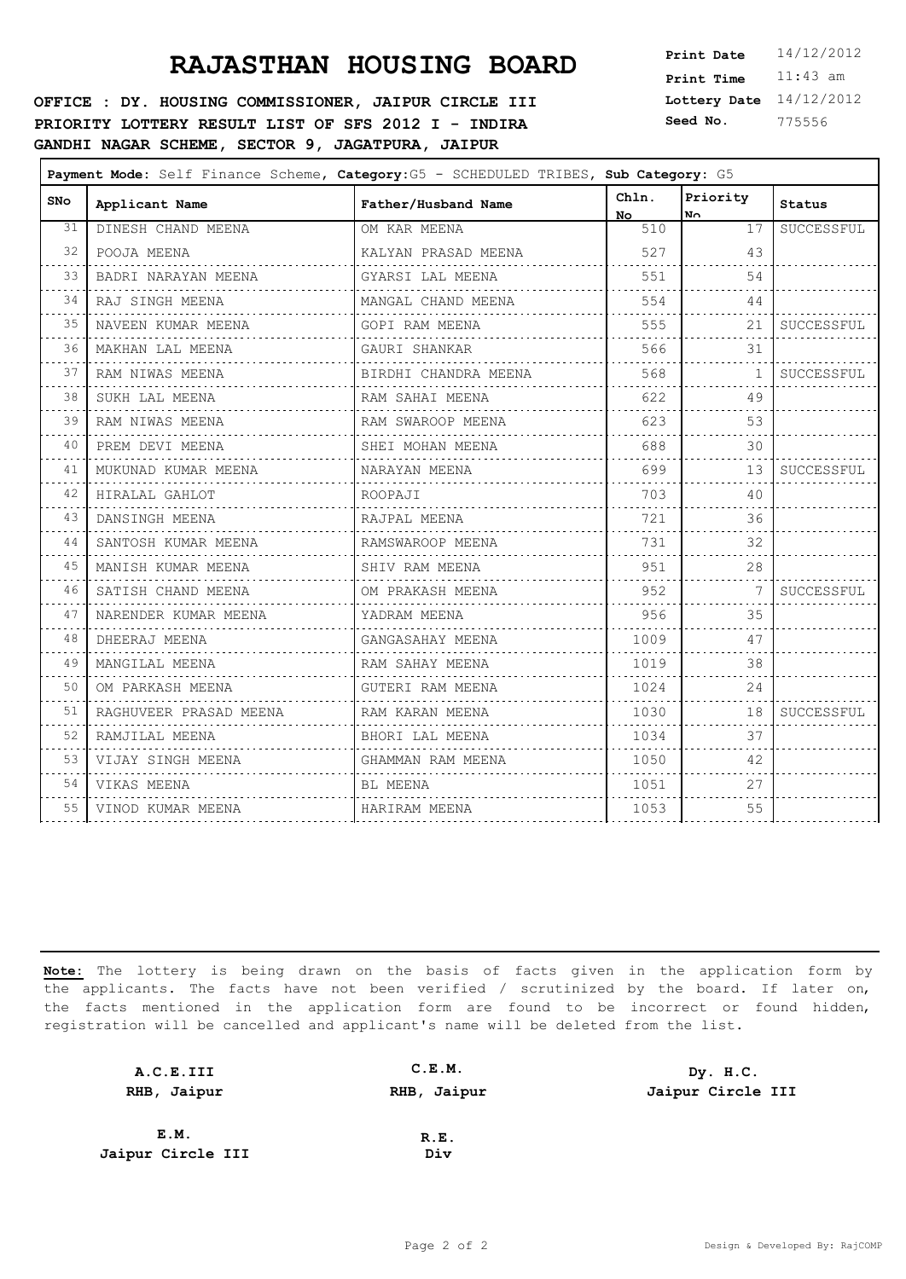#### **OFFICE : DY. HOUSING COMMISSIONER, JAIPUR CIRCLE III PRIORITY LOTTERY RESULT LIST OF SFS 2012 I - INDIRA GANDHI NAGAR SCHEME, SECTOR 9, JAGATPURA, JAIPUR**

**Lottery Date** 14/12/2012 **Print Time** 11:43 am **Seed No.** 775556

| <b>SNo</b>                 | Applicant Name         | Father/Husband Name  | Chln.<br>No. | Priority<br>No.            | <b>Status</b> |
|----------------------------|------------------------|----------------------|--------------|----------------------------|---------------|
| 31                         | DINESH CHAND MEENA     | OM KAR MEENA         | 510          | 17                         | SUCCESSFUL    |
| 32<br>$\sim$ $\sim$ $\sim$ | POOJA MEENA            | KALYAN PRASAD MEENA  | 527          | 43                         |               |
| 33                         | BADRI NARAYAN MEENA    | GYARSI LAL MEENA     | 551          | 54                         |               |
| 34                         | RAJ SINGH MEENA        | MANGAL CHAND MEENA   | 554          | 44                         |               |
| 35                         | NAVEEN KUMAR MEENA     | GOPI RAM MEENA       | 555          | 21                         | SUCCESSFUL    |
| 36                         | MAKHAN LAL MEENA       | GAURI SHANKAR        | 566          | 31                         |               |
| .<br>37                    | RAM NIWAS MEENA        | BIRDHI CHANDRA MEENA | 568          | 1                          | SUCCESSFUL    |
| 38                         | SUKH LAL MEENA         | RAM SAHAI MEENA      | 622          | 49                         |               |
| 39                         | RAM NIWAS MEENA        | RAM SWAROOP MEENA    | 623          | 53                         |               |
| $\sim$ $\sim$ $\sim$<br>40 | PREM DEVI MEENA        | SHEI MOHAN MEENA     | 688          | 30                         |               |
| 41                         | MUKUNAD KUMAR MEENA    | NARAYAN MEENA<br>.   | 699          | 13                         | SUCCESSFUL    |
| 42                         | HIRALAL GAHLOT         | ROOPAJI              | 703          | 40                         |               |
| 43                         | DANSINGH MEENA         | RAJPAL MEENA         | 721          | 36                         |               |
| 44                         | SANTOSH KUMAR MEENA    | RAMSWAROOP MEENA     | 731          | 32                         |               |
| 45                         | MANISH KUMAR MEENA     | SHIV RAM MEENA       | 951          | 28                         |               |
| 46                         | SATISH CHAND MEENA     | OM PRAKASH MEENA     | 952          | 7                          | SUCCESSFUL    |
| 47                         | NARENDER KUMAR MEENA   | YADRAM MEENA         | 956          | 35<br>$\sim$ $\sim$ $\sim$ |               |
| $\sim$ - $\sim$<br>48      | DHEERAJ MEENA          | GANGASAHAY MEENA     | 1009         | 47                         |               |
| 49                         | MANGILAL MEENA         | RAM SAHAY MEENA      | 1019         | 38                         |               |
| 50<br>.                    | OM PARKASH MEENA       | GUTERI RAM MEENA     | 1024         | 24                         |               |
| 51                         | RAGHUVEER PRASAD MEENA | RAM KARAN MEENA      | 1030         | 18                         | SUCCESSFUL    |
| $\sim$ $\sim$ $\sim$<br>52 | RAMJILAL MEENA         | BHORI LAL MEENA      | 1034         | $\sim$ $\sim$ $\sim$<br>37 |               |
| 53                         | VIJAY SINGH MEENA      | GHAMMAN RAM MEENA    | 1050         | 42                         |               |
| 54                         | VIKAS MEENA            | BL MEENA             | 1051         | 27                         |               |
| 55                         | VINOD KUMAR MEENA      | HARIRAM MEENA        | 1053         | 55                         |               |
|                            | .                      |                      |              |                            |               |

| A.C.E.III         | C.E.M.      | Dy. H.C.          |
|-------------------|-------------|-------------------|
| RHB, Jaipur       | RHB, Jaipur | Jaipur Circle III |
|                   |             |                   |
| E.M.              | R.E.        |                   |
| Jaipur Circle III | Div         |                   |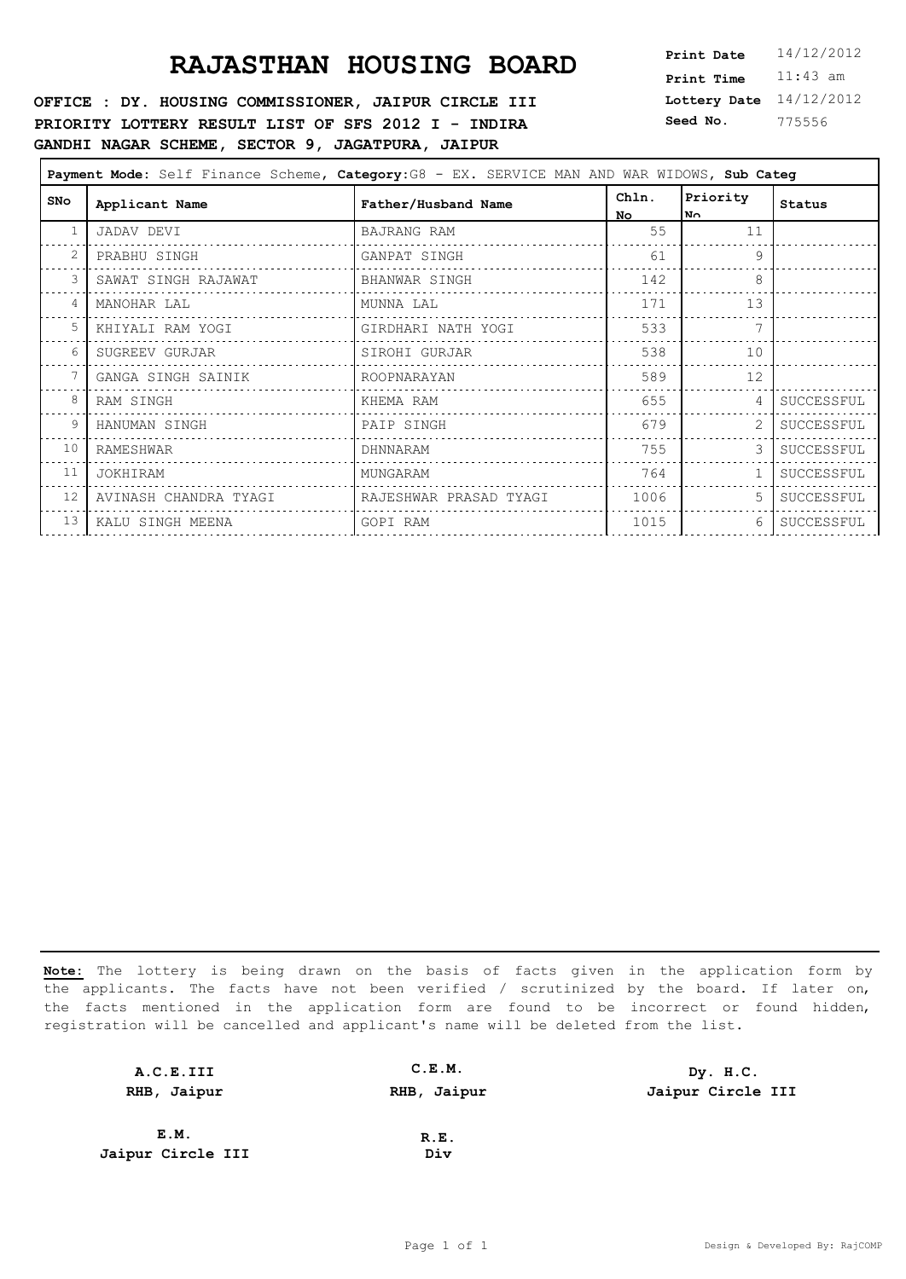#### **OFFICE : DY. HOUSING COMMISSIONER, JAIPUR CIRCLE III PRIORITY LOTTERY RESULT LIST OF SFS 2012 I - INDIRA GANDHI NAGAR SCHEME, SECTOR 9, JAGATPURA, JAIPUR**

**Lottery Date** 14/12/2012 **Print Time** 11:43 am **Seed No.** 775556

| Payment Mode: Self Finance Scheme, Category: G8 - EX. SERVICE MAN AND WAR WIDOWS, Sub Categ |                       |                        |                    |                  |            |
|---------------------------------------------------------------------------------------------|-----------------------|------------------------|--------------------|------------------|------------|
| SNo                                                                                         | Applicant Name        | Father/Husband Name    | Chln.<br><b>No</b> | Priority<br>∣N∩. | Status     |
| 1                                                                                           | JADAV DEVI            | BAJRANG RAM            | 55                 | 11               |            |
| $\overline{c}$                                                                              | PRABHU SINGH          | GANPAT SINGH           | 61                 | 9                |            |
| 3                                                                                           | SAWAT SINGH RAJAWAT   | BHANWAR SINGH          | 142                | 8                |            |
| 4                                                                                           | MANOHAR LAL           | MUNNA LAL              | 171                | 13               |            |
| 5                                                                                           | KHIYALI RAM YOGI      | GIRDHARI NATH YOGI     | 533                | 7                |            |
| 6                                                                                           | SUGREEV GURJAR        | SIROHI GURJAR          | 538                | 10               |            |
| 7                                                                                           | GANGA SINGH SAINIK    | ROOPNARAYAN            | 589                | 12               |            |
| 8                                                                                           | RAM SINGH             | KHEMA RAM              | 655                | 4                | SUCCESSFUL |
| 9                                                                                           | HANUMAN SINGH         | PAIP SINGH             | 679                | 2                | SUCCESSFUL |
| 10                                                                                          | RAMESHWAR             | DHNNARAM               | 755                |                  | SUCCESSFUL |
| 11                                                                                          | JOKHIRAM              | MUNGARAM               | 764                |                  | SUCCESSFUL |
| 12                                                                                          | AVINASH CHANDRA TYAGI | RAJESHWAR PRASAD TYAGI | 1006               | 5                | SUCCESSFUL |
| 13                                                                                          | KALU SINGH MEENA      | GOPI RAM               | 1015               | 6                | SUCCESSFUL |

| A.C.E.III         | C.E.M.      | Dy. H.C.          |
|-------------------|-------------|-------------------|
| RHB, Jaipur       | RHB, Jaipur | Jaipur Circle III |
|                   |             |                   |
| E.M.              | R.E.        |                   |
| Jaipur Circle III | Div         |                   |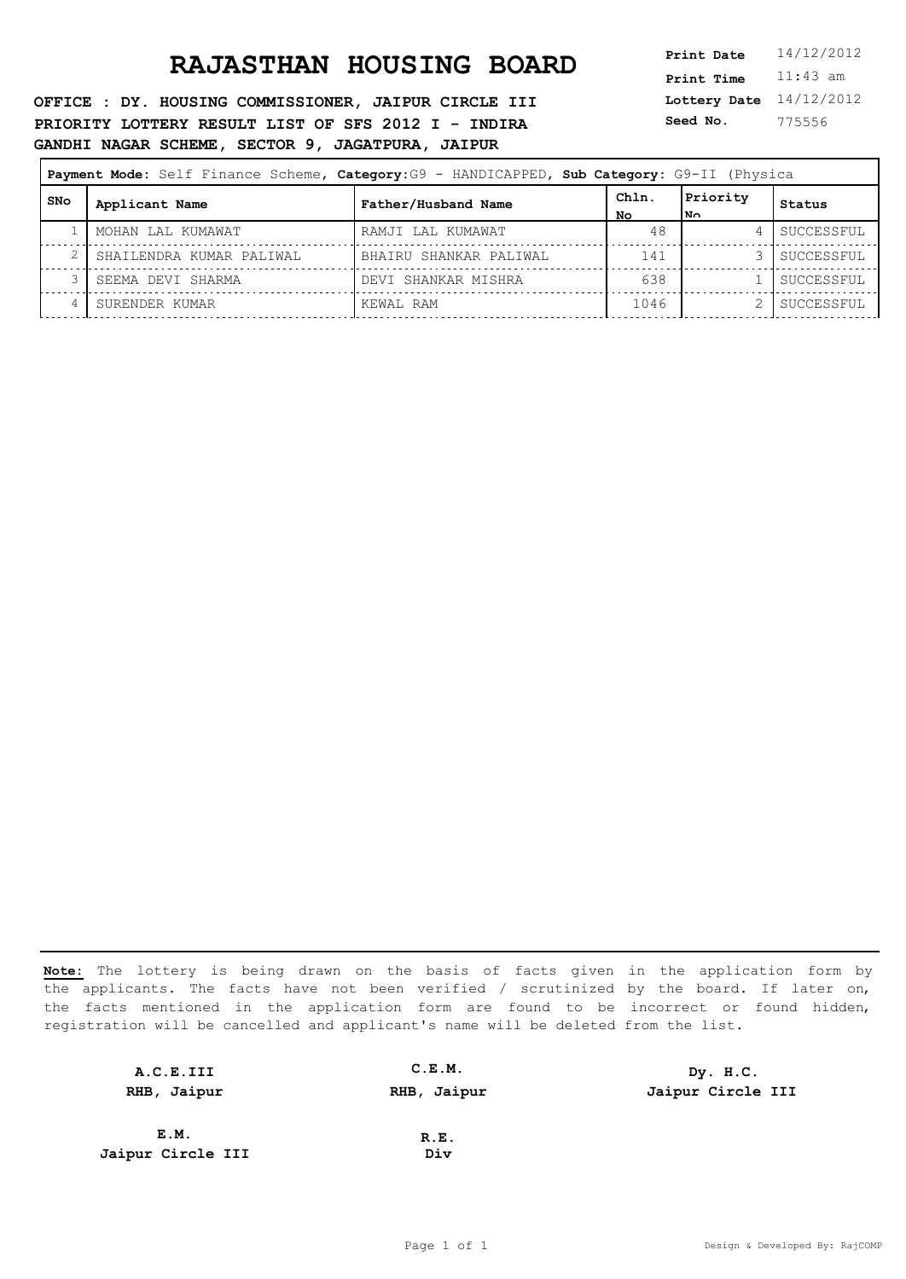#### **OFFICE : DY. HOUSING COMMISSIONER, JAIPUR CIRCLE III PRIORITY LOTTERY RESULT LIST OF SFS 2012 I - INDIRA GANDHI NAGAR SCHEME, SECTOR 9, JAGATPURA, JAIPUR**

**Lottery Date** 14/12/2012 **Print Time** 11:43 am **Seed No.** 775556

| Payment Mode: Self Finance Scheme, Category: G9 - HANDICAPPED, Sub Category: G9-II (Physica |                          |                        |             |                  |            |
|---------------------------------------------------------------------------------------------|--------------------------|------------------------|-------------|------------------|------------|
| SNo                                                                                         | Applicant Name           | Father/Husband Name    | Chln.<br>NΟ | Priority<br>lм∩. | Status     |
|                                                                                             | MOHAN LAL KUMAWAT        | RAMJI LAL KUMAWAT      | 48          |                  | SUCCESSFUL |
|                                                                                             | SHAILENDRA KUMAR PALIWAL | BHAIRU SHANKAR PALIWAL | 141         |                  | SUCCESSFUL |
|                                                                                             | SEEMA DEVI SHARMA        | DEVI SHANKAR MISHRA    | 638         |                  | SUCCESSFUL |
|                                                                                             | SURENDER KUMAR           | KEWAL RAM              | 1046        |                  | SUCCESSFUL |

| A.C.E.III         | C.E.M.      | Dy. H.C.          |
|-------------------|-------------|-------------------|
| RHB, Jaipur       | RHB, Jaipur | Jaipur Circle III |
|                   |             |                   |
| E.M.              | R.E.        |                   |
| Jaipur Circle III | Div         |                   |